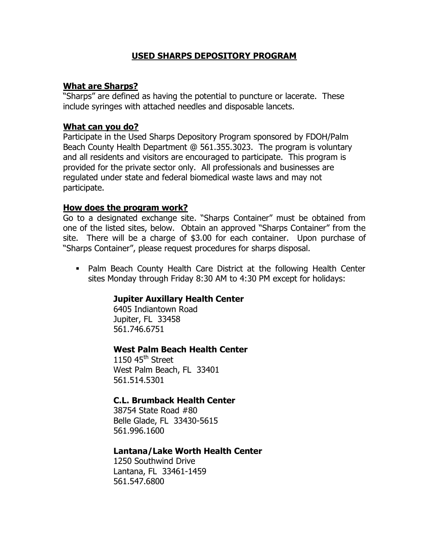#### **USED SHARPS DEPOSITORY PROGRAM**

## **What are Sharps?**

"Sharps" are defined as having the potential to puncture or lacerate. These include syringes with attached needles and disposable lancets.

# **What can you do?**

Participate in the Used Sharps Depository Program sponsored by FDOH/Palm Beach County Health Department @ 561.355.3023. The program is voluntary and all residents and visitors are encouraged to participate. This program is provided for the private sector only. All professionals and businesses are regulated under state and federal biomedical waste laws and may not participate.

#### **How does the program work?**

Go to a designated exchange site. "Sharps Container" must be obtained from one of the listed sites, below. Obtain an approved "Sharps Container" from the site. There will be a charge of \$3.00 for each container. Upon purchase of "Sharps Container", please request procedures for sharps disposal.

• Palm Beach County Health Care District at the following Health Center sites Monday through Friday 8:30 AM to 4:30 PM except for holidays:

## **Jupiter Auxillary Health Center**

6405 Indiantown Road Jupiter, FL 33458 561.746.6751

## **West Palm Beach Health Center**

1150  $45<sup>th</sup>$  Street West Palm Beach, FL 33401 561.514.5301

## **C.L. Brumback Health Center**

38754 State Road #80 Belle Glade, FL 33430-5615 561.996.1600

## **Lantana/Lake Worth Health Center**

1250 Southwind Drive Lantana, FL 33461-1459 561.547.6800